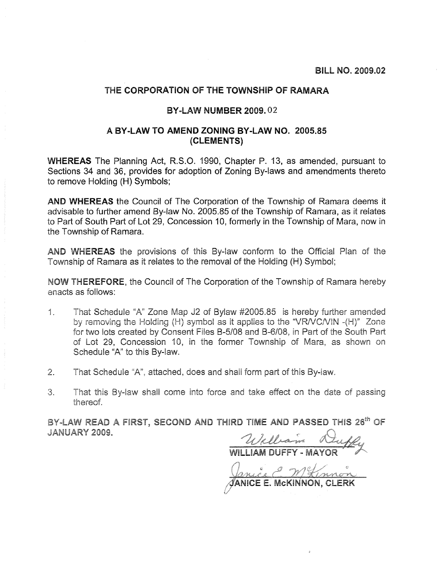## THE CORPORATION OF THE TOWNSHIP OF RAMARA

## **BY-LAW NUMBER 2009.02**

## A BY-LAW TO AMEND ZONING BY-LAW NO. 2005.85 (CLEMENTS)

**WHEREAS** The Planning Act, R.S.O. 1990, Chapter P. 13, as amended, pursuant to Sections 34 and 36, provides for adoption of Zoning By-laws and amendments thereto to remove Holding (H) Symbols;

AND WHEREAS the Council of The Corporation of the Township of Ramara deems it advisable to further amend By-law No. 2005.85 of the Township of Ramara, as it relates to Part of South Part of Lot 29, Concession 10, formerly in the Township of Mara, now in the Township of Ramara.

AND WHEREAS the provisions of this By-law conform to the Official Plan of the Township of Ramara as it relates to the removal of the Holding (H) Symbol;

NOW THEREFORE, the Council of The Corporation of the Township of Ramara hereby enacts as follows:

- That Schedule "A" Zone Map J2 of Bylaw #2005.85 is hereby further amended  $\frac{1}{2}$ by removing the Holding (H) symbol as it applies to the "VR/VC/VIN - (H)" Zone for two lots created by Consent Files B-5/08 and B-6/08, in Part of the South Part of Lot 29. Concession 10, in the former Township of Mara, as shown on Schedule "A" to this By-law.
- $2.$ That Schedule "A", attached, does and shall form part of this By-law.
- $3<sub>1</sub>$ That this By-law shall come into force and take effect on the date of passing thereof.

BY-LAW READ A FIRST, SECOND AND THIRD TIME AND PASSED THIS 26<sup>th</sup> OF **JANUARY 2009.** 

William Duffy

Janice MKmon